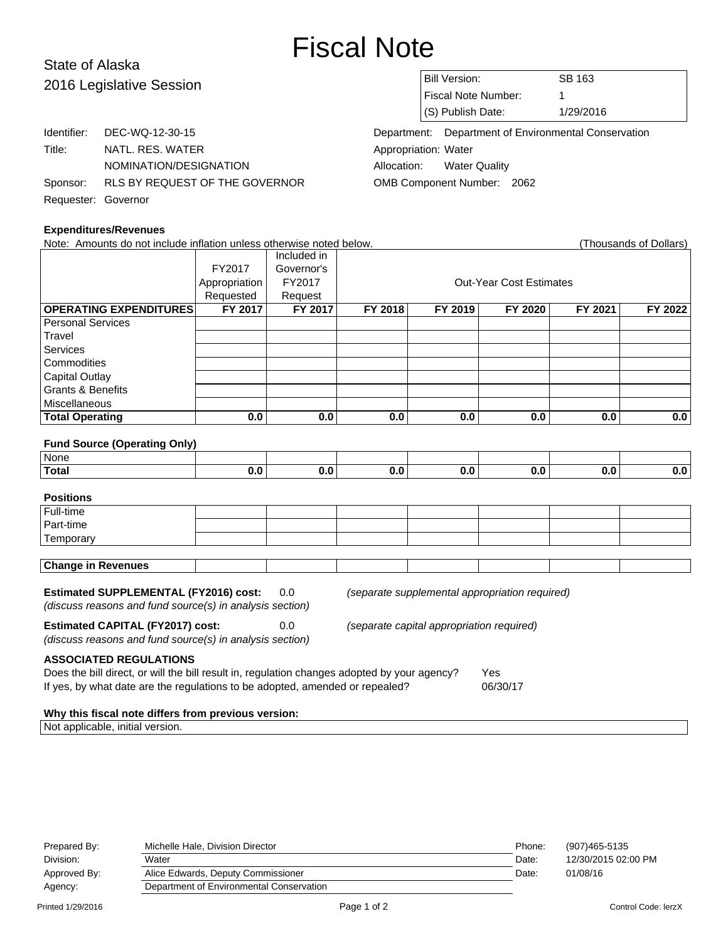# Fiscal Note

### State of Alaska 2016 Legislative Session

|                     | Identifier: DEC-WQ-12-30-15             |
|---------------------|-----------------------------------------|
| Title:              | NATL. RES. WATER                        |
|                     | NOMINATION/DESIGNATION                  |
|                     | Sponsor: RLS BY REQUEST OF THE GOVERNOR |
| Requester: Governor |                                         |

## Bill Version: SB 163 Fiscal Note Number: 1 (S) Publish Date: 1/29/2016

Department: Department of Environmental Conservation Appropriation: Water Allocation: Water Quality OMB Component Number: 2062

| <b>Expenditures/Revenues</b>                                                                                                                                                                                  |                |             |                                           |                                                |                                |         |                        |  |
|---------------------------------------------------------------------------------------------------------------------------------------------------------------------------------------------------------------|----------------|-------------|-------------------------------------------|------------------------------------------------|--------------------------------|---------|------------------------|--|
| Note: Amounts do not include inflation unless otherwise noted below.                                                                                                                                          |                |             |                                           |                                                |                                |         | (Thousands of Dollars) |  |
|                                                                                                                                                                                                               |                | Included in |                                           |                                                |                                |         |                        |  |
|                                                                                                                                                                                                               | FY2017         | Governor's  |                                           |                                                |                                |         |                        |  |
|                                                                                                                                                                                                               | Appropriation  | FY2017      |                                           |                                                | <b>Out-Year Cost Estimates</b> |         |                        |  |
|                                                                                                                                                                                                               | Requested      | Request     |                                           |                                                |                                |         |                        |  |
| <b>OPERATING EXPENDITURES</b>                                                                                                                                                                                 | <b>FY 2017</b> | FY 2017     | FY 2018                                   | FY 2019                                        | FY 2020                        | FY 2021 | FY 2022                |  |
| <b>Personal Services</b>                                                                                                                                                                                      |                |             |                                           |                                                |                                |         |                        |  |
| Travel                                                                                                                                                                                                        |                |             |                                           |                                                |                                |         |                        |  |
| Services                                                                                                                                                                                                      |                |             |                                           |                                                |                                |         |                        |  |
| Commodities                                                                                                                                                                                                   |                |             |                                           |                                                |                                |         |                        |  |
| <b>Capital Outlay</b>                                                                                                                                                                                         |                |             |                                           |                                                |                                |         |                        |  |
| <b>Grants &amp; Benefits</b>                                                                                                                                                                                  |                |             |                                           |                                                |                                |         |                        |  |
| Miscellaneous                                                                                                                                                                                                 |                |             |                                           |                                                |                                |         |                        |  |
| <b>Total Operating</b>                                                                                                                                                                                        | 0.0            | 0.0         | 0.0                                       | 0.0                                            | 0.0                            | 0.0     | 0.0                    |  |
|                                                                                                                                                                                                               |                |             |                                           |                                                |                                |         |                        |  |
| <b>Fund Source (Operating Only)</b>                                                                                                                                                                           |                |             |                                           |                                                |                                |         |                        |  |
| None                                                                                                                                                                                                          |                |             |                                           |                                                |                                |         |                        |  |
| <b>Total</b>                                                                                                                                                                                                  | 0.0            | 0.0         | 0.0                                       | 0.0                                            | 0.0                            | 0.0     | 0.0                    |  |
|                                                                                                                                                                                                               |                |             |                                           |                                                |                                |         |                        |  |
| <b>Positions</b>                                                                                                                                                                                              |                |             |                                           |                                                |                                |         |                        |  |
| Full-time                                                                                                                                                                                                     |                |             |                                           |                                                |                                |         |                        |  |
| Part-time                                                                                                                                                                                                     |                |             |                                           |                                                |                                |         |                        |  |
| Temporary                                                                                                                                                                                                     |                |             |                                           |                                                |                                |         |                        |  |
|                                                                                                                                                                                                               |                |             |                                           |                                                |                                |         |                        |  |
| <b>Change in Revenues</b>                                                                                                                                                                                     |                |             |                                           |                                                |                                |         |                        |  |
| <b>Estimated SUPPLEMENTAL (FY2016) cost:</b><br>0.0                                                                                                                                                           |                |             |                                           | (separate supplemental appropriation required) |                                |         |                        |  |
| (discuss reasons and fund source(s) in analysis section)                                                                                                                                                      |                |             |                                           |                                                |                                |         |                        |  |
| <b>Estimated CAPITAL (FY2017) cost:</b><br>0.0<br>(discuss reasons and fund source(s) in analysis section)                                                                                                    |                |             | (separate capital appropriation required) |                                                |                                |         |                        |  |
| <b>ASSOCIATED REGULATIONS</b><br>Does the bill direct, or will the bill result in, regulation changes adopted by your agency?<br>If yes, by what date are the regulations to be adopted, amended or repealed? |                |             |                                           |                                                | Yes<br>06/30/17                |         |                        |  |

#### **Why this fiscal note differs from previous version:**

Not applicable, initial version.

| Prepared By: | Michelle Hale, Division Director         | Phone: | (907)465-5135       |
|--------------|------------------------------------------|--------|---------------------|
| Division:    | Water                                    | Date:  | 12/30/2015 02:00 PM |
| Approved By: | Alice Edwards, Deputy Commissioner       | Date:  | 01/08/16            |
| Agency:      | Department of Environmental Conservation |        |                     |
|              |                                          |        |                     |